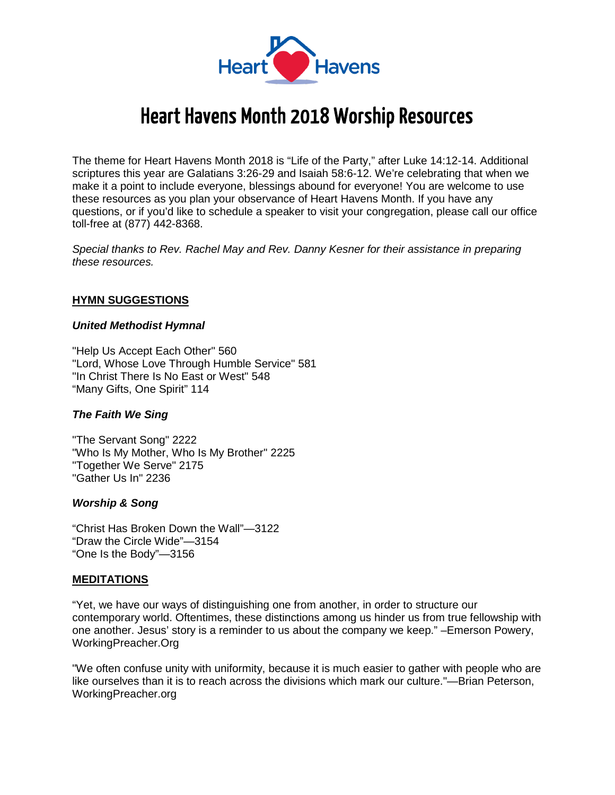

# Heart Havens Month 2018 Worship Resources

The theme for Heart Havens Month 2018 is "Life of the Party," after Luke 14:12-14. Additional scriptures this year are Galatians 3:26-29 and Isaiah 58:6-12. We're celebrating that when we make it a point to include everyone, blessings abound for everyone! You are welcome to use these resources as you plan your observance of Heart Havens Month. If you have any questions, or if you'd like to schedule a speaker to visit your congregation, please call our office toll-free at (877) 442-8368.

*Special thanks to Rev. Rachel May and Rev. Danny Kesner for their assistance in preparing these resources.*

### **HYMN SUGGESTIONS**

#### *United Methodist Hymnal*

"Help Us Accept Each Other" 560 "Lord, Whose Love Through Humble Service" 581 "In Christ There Is No East or West" 548 "Many Gifts, One Spirit" 114

#### *The Faith We Sing*

"The Servant Song" 2222 "Who Is My Mother, Who Is My Brother" 2225 "Together We Serve" 2175 "Gather Us In" 2236

#### *Worship & Song*

"Christ Has Broken Down the Wall"—3122 "Draw the Circle Wide"—3154 "One Is the Body"—3156

#### **MEDITATIONS**

"Yet, we have our ways of distinguishing one from another, in order to structure our contemporary world. Oftentimes, these distinctions among us hinder us from true fellowship with one another. Jesus' story is a reminder to us about the company we keep." –Emerson Powery, WorkingPreacher.Org

"We often confuse unity with uniformity, because it is much easier to gather with people who are like ourselves than it is to reach across the divisions which mark our culture."—Brian Peterson, WorkingPreacher.org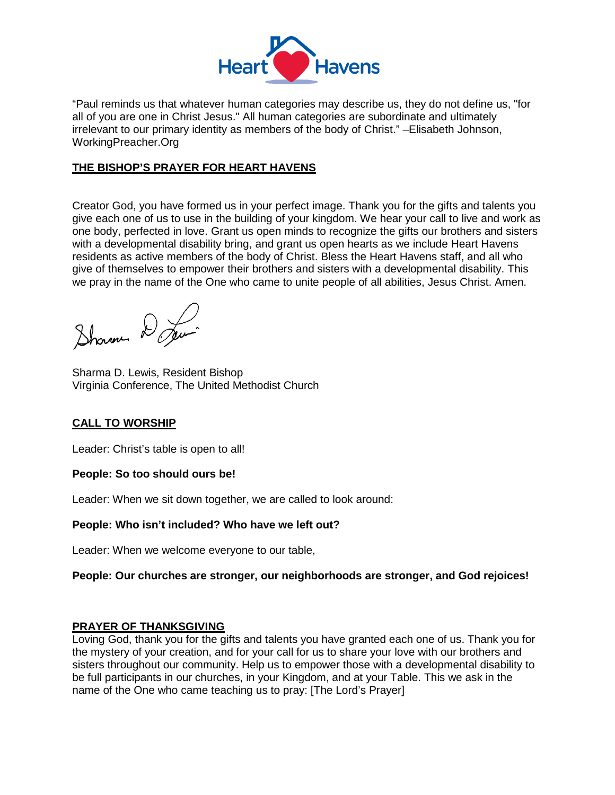

"Paul reminds us that whatever human categories may describe us, they do not define us, "for all of you are one in Christ Jesus." All human categories are subordinate and ultimately irrelevant to our primary identity as members of the body of Christ." –Elisabeth Johnson, WorkingPreacher.Org

## **THE BISHOP'S PRAYER FOR HEART HAVENS**

Creator God, you have formed us in your perfect image. Thank you for the gifts and talents you give each one of us to use in the building of your kingdom. We hear your call to live and work as one body, perfected in love. Grant us open minds to recognize the gifts our brothers and sisters with a developmental disability bring, and grant us open hearts as we include Heart Havens residents as active members of the body of Christ. Bless the Heart Havens staff, and all who give of themselves to empower their brothers and sisters with a developmental disability. This we pray in the name of the One who came to unite people of all abilities, Jesus Christ. Amen.

Shown De

Sharma D. Lewis, Resident Bishop Virginia Conference, The United Methodist Church

## **CALL TO WORSHIP**

Leader: Christ's table is open to all!

## **People: So too should ours be!**

Leader: When we sit down together, we are called to look around:

## **People: Who isn't included? Who have we left out?**

Leader: When we welcome everyone to our table,

## **People: Our churches are stronger, our neighborhoods are stronger, and God rejoices!**

## **PRAYER OF THANKSGIVING**

Loving God, thank you for the gifts and talents you have granted each one of us. Thank you for the mystery of your creation, and for your call for us to share your love with our brothers and sisters throughout our community. Help us to empower those with a developmental disability to be full participants in our churches, in your Kingdom, and at your Table. This we ask in the name of the One who came teaching us to pray: [The Lord's Prayer]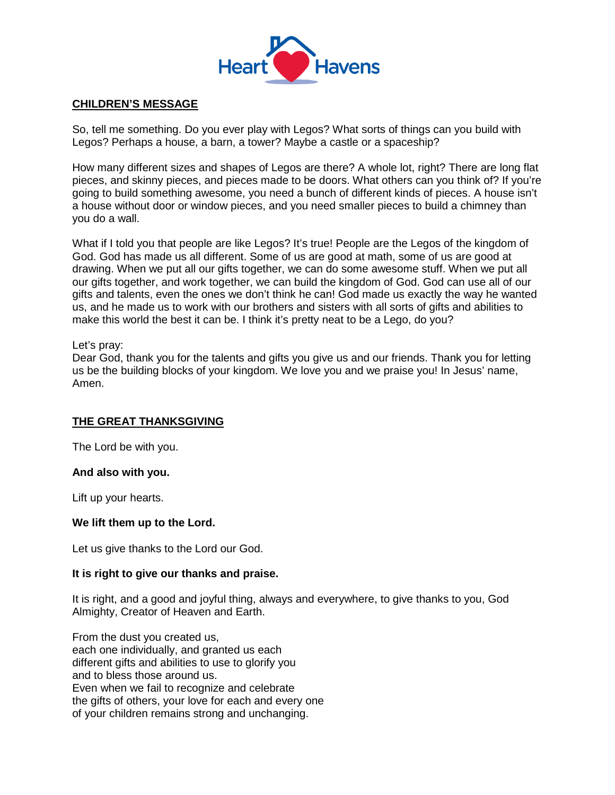

## **CHILDREN'S MESSAGE**

So, tell me something. Do you ever play with Legos? What sorts of things can you build with Legos? Perhaps a house, a barn, a tower? Maybe a castle or a spaceship?

How many different sizes and shapes of Legos are there? A whole lot, right? There are long flat pieces, and skinny pieces, and pieces made to be doors. What others can you think of? If you're going to build something awesome, you need a bunch of different kinds of pieces. A house isn't a house without door or window pieces, and you need smaller pieces to build a chimney than you do a wall.

What if I told you that people are like Legos? It's true! People are the Legos of the kingdom of God. God has made us all different. Some of us are good at math, some of us are good at drawing. When we put all our gifts together, we can do some awesome stuff. When we put all our gifts together, and work together, we can build the kingdom of God. God can use all of our gifts and talents, even the ones we don't think he can! God made us exactly the way he wanted us, and he made us to work with our brothers and sisters with all sorts of gifts and abilities to make this world the best it can be. I think it's pretty neat to be a Lego, do you?

### Let's pray:

Dear God, thank you for the talents and gifts you give us and our friends. Thank you for letting us be the building blocks of your kingdom. We love you and we praise you! In Jesus' name, Amen.

## **THE GREAT THANKSGIVING**

The Lord be with you.

#### **And also with you.**

Lift up your hearts.

#### **We lift them up to the Lord.**

Let us give thanks to the Lord our God.

#### **It is right to give our thanks and praise.**

It is right, and a good and joyful thing, always and everywhere, to give thanks to you, God Almighty, Creator of Heaven and Earth.

From the dust you created us, each one individually, and granted us each different gifts and abilities to use to glorify you and to bless those around us. Even when we fail to recognize and celebrate the gifts of others, your love for each and every one of your children remains strong and unchanging.